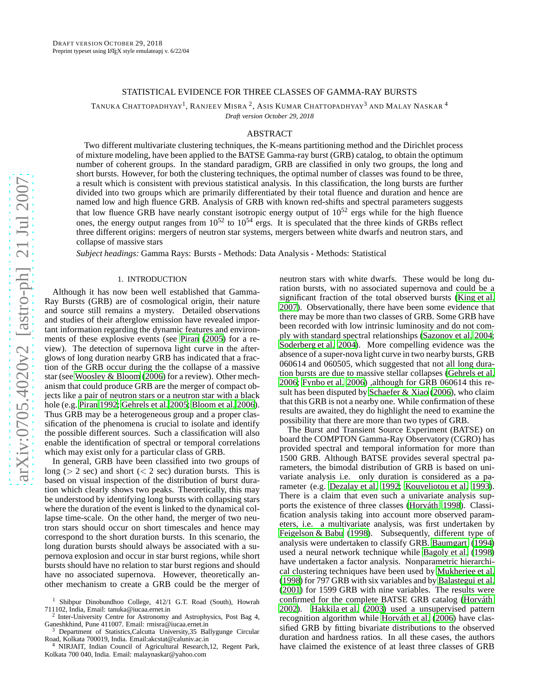# STATISTICAL EVIDENCE FOR THREE CLASSES OF GAMMA-RAY BURSTS

TANUKA CHATTOPADHYAY<sup>1</sup>, RANJEEV MISRA <sup>2</sup>, ASIS KUMAR CHATTOPADHYAY<sup>3</sup> AND MALAY NASKAR <sup>4</sup>

*Draft version October 29, 2018*

# ABSTRACT

Two different multivariate clustering techniques, the K-means partitioning method and the Dirichlet process of mixture modeling, have been applied to the BATSE Gamma-ray burst (GRB) catalog, to obtain the optimum number of coherent groups. In the standard paradigm, GRB are classified in only two groups, the long and short bursts. However, for both the clustering techniques, the optimal number of classes was found to be three, a result which is consistent with previous statistical analysis. In this classification, the long bursts are further divided into two groups which are primarily differentiated by their total fluence and duration and hence are named low and high fluence GRB. Analysis of GRB with known red-shifts and spectral parameters suggests that low fluence GRB have nearly constant isotropic energy output of  $10^{52}$  ergs while for the high fluence ones, the energy output ranges from  $10^{52}$  to  $10^{54}$  ergs. It is speculated that the three kinds of GRBs reflect three different origins: mergers of neutron star systems, mergers between white dwarfs and neutron stars, and collapse of massive stars

*Subject headings:* Gamma Rays: Bursts - Methods: Data Analysis - Methods: Statistical

# 1. INTRODUCTION

Although it has now been well established that Gamma-Ray Bursts (GRB) are of cosmological origin, their nature and source still remains a mystery. Detailed observations and studies of their afterglow emission have revealed impor tant information regarding the dynamic features and environments of these explosive events (see [Piran \(2005](#page-6-0)) for a review). The detection of supernova light curve in the afterglows of long duration nearby GRB has indicated that a fraction of the GRB occur during the the collapse of a massive star (see [Woosley & Bloom \(2006\)](#page-6-1) for a review). Other mechanism that could produce GRB are the merger of compact objects like a pair of neutron stars or a neutron star with a black hole (e.g. [Piran 1992](#page-6-2); [Gehrels et al. 2005](#page-6-3); [Bloom et al. 2006\)](#page-6-4) . Thus GRB may be a heterogeneous group and a proper classification of the phenomena is crucial to isolate and identify the possible different sources. Such a classification will also enable the identification of spectral or temporal correlations which may exist only for a particular class of GRB.

In general, GRB have been classified into two groups of long ( $> 2$  sec) and short ( $< 2$  sec) duration bursts. This is based on visual inspection of the distribution of burst dura tion which clearly shows two peaks. Theoretically, this may be understood by identifying long bursts with collapsing stars where the duration of the event is linked to the dynamical collapse time-scale. On the other hand, the merger of two neutron stars should occur on short timescales and hence may correspond to the short duration bursts. In this scenario, the long duration bursts should always be associated with a supernova explosion and occur in star burst regions, while short bursts should have no relation to star burst regions and should have no associated supernova. However, theoretically another mechanism to create a GRB could be the merger of neutron stars with white dwarfs. These would be long duration bursts, with no associated supernova and could be a significant fraction of the total observed bursts [\(King et al](#page-6-5) . [2007\)](#page-6-5). Observationally, there have been some evidence that there may be more than two classes of GRB. Some GRB have been recorded with low intrinsic luminosity and do not comply with standard spectral relationships [\(Sazonov et al. 2004](#page-6-6); [Soderberg et al. 2004](#page-6-7)). More compelling evidence was the absence of a super-nova light curve in two nearby bursts, GRB 060614 and 060505, which suggested that not all long duration bursts are due to massive stellar collapses [\(Gehrels et](#page-6-8) al. [2006;](#page-6-8) [Fynbo et al. 2006](#page-6-9)) ,although for GRB 060614 this result has been disputed by [Schaefer & Xiao \(2006](#page-6-10)), who claim that this GRB is not a nearby one. While confirmation of these results are awaited, they do highlight the need to examine th e possibility that there are more than two types of GRB.

The Burst and Transient Source Experiment (BATSE) on board the COMPTON Gamma-Ray Observatory (CGRO) has provided spectral and temporal information for more than 1500 GRB. Although BATSE provides several spectral parameters, the bimodal distribution of GRB is based on univariate analysis i.e. only duration is considered as a parameter (e.g. [Dezalay et al. 1992;](#page-6-11) [Kouveliotou et al. 1993](#page-6-12)). There is a claim that even such a univariate analysis supports the existence of three classes [\(Horváth 1998](#page-6-13)). Classification analysis taking into account more observed parameters, i.e. a multivariate analysis, was first undertaken by [Feigelson & Babu](#page-6-14) [\(1998\)](#page-6-14). Subsequently, different type of analysis were undertaken to classify GRB. [Baumgart](#page-6-15) [\(1994\)](#page-6-15) used a neural network technique while [Bagoly et al.](#page-6-16) [\(1998\)](#page-6-16) have undertaken a factor analysis. Nonparametric hierarchical clustering techniques have been used by [Mukherjee et al.](#page-6-17) [\(1998\)](#page-6-17) for 797 GRB with six variables and by [Balastegui et al.](#page-6-18) [\(2001\)](#page-6-18) for 1599 GRB with nine variables. The results were confirmed for the complete BATSE GRB catalog [\(Horváth](#page-6-19) [2002\)](#page-6-19). [Hakkila et al.](#page-6-20) [\(2003\)](#page-6-20) used a unsupervised pattern recognition algorithm while [Horváth et al. \(2006\)](#page-6-21) have clas sified GRB by fitting bivariate distributions to the observed duration and hardness ratios. In all these cases, the author s have claimed the existence of at least three classes of GRB

<sup>&</sup>lt;sup>1</sup> Shibpur Dinobundhoo College, 412/1 G.T. Road (South), Howrah 711102, India, Email: tanuka@iucaa.ernet.in <sup>2</sup>

<sup>&</sup>lt;sup>2</sup> Inter-University Centre for Astronomy and Astrophysics, Post Bag 4, Ganeshkhind, Pune 411007. Email: rmisra@iucaa.ernet.in

Department of Statistics, Calcutta University, 35 Ballygunge Circular Road, Kolkata 700019, India. Email:akcstat@caluniv.ac.i n

NIRJAIT, Indian Council of Agricultural Research,12, Regent Park, Kolkata 700 040, India. Email: malaynaskar@yahoo.com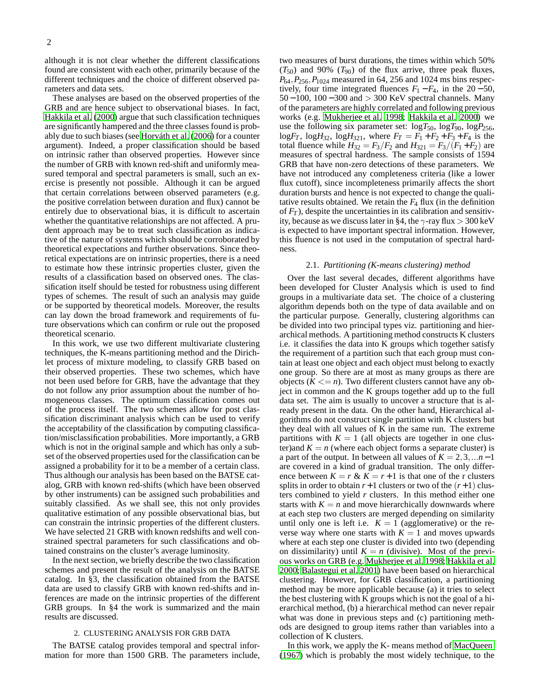although it is not clear whether the different classifications found are consistent with each other, primarily because of the different techniques and the choice of different observed parameters and data sets.

These analyses are based on the observed properties of the GRB and are hence subject to observational biases. In fact, [Hakkila et al. \(2000\)](#page-6-22) argue that such classification techniques are significantly hampered and the three classes found is probably due to such biases (see [Horváth et al. \(2006\)](#page-6-21) for a counter argument). Indeed, a proper classification should be based on intrinsic rather than observed properties. However since the number of GRB with known red-shift and uniformly measured temporal and spectral parameters is small, such an exercise is presently not possible. Although it can be argued that certain correlations between observed parameters (e.g. the positive correlation between duration and flux) cannot be entirely due to observational bias, it is difficult to ascertain whether the quantitative relationships are not affected. A prudent approach may be to treat such classification as indicative of the nature of systems which should be corroborated by theoretical expectations and further observations. Since theoretical expectations are on intrinsic properties, there is a need to estimate how these intrinsic properties cluster, given the results of a classification based on observed ones. The classification itself should be tested for robustness using different types of schemes. The result of such an analysis may guide or be supported by theoretical models. Moreover, the results can lay down the broad framework and requirements of future observations which can confirm or rule out the proposed theoretical scenario.

In this work, we use two different multivariate clustering techniques, the K-means partitioning method and the Dirichlet process of mixture modeling, to classify GRB based on their observed properties. These two schemes, which have not been used before for GRB, have the advantage that they do not follow any prior assumption about the number of homogeneous classes. The optimum classification comes out of the process itself. The two schemes allow for post classification discriminant analysis which can be used to verify the acceptability of the classification by computing classification/misclassification probabilities. More importantly, a GRB which is not in the original sample and which has only a subset of the observed properties used for the classification can be assigned a probability for it to be a member of a certain class. Thus although our analysis has been based on the BATSE catalog, GRB with known red-shifts (which have been observed by other instruments) can be assigned such probabilities and suitably classified. As we shall see, this not only provides qualitative estimation of any possible observational bias, but can constrain the intrinsic properties of the different clusters. We have selected 21 GRB with known redshifts and well constrained spectral parameters for such classifications and obtained constrains on the cluster's average luminosity.

In the next section, we briefly describe the two classification schemes and present the result of the analysis on the BATSE catalog. In §3, the classification obtained from the BATSE data are used to classify GRB with known red-shifts and inferences are made on the intrinsic properties of the different GRB groups. In §4 the work is summarized and the main results are discussed.

# 2. CLUSTERING ANALYSIS FOR GRB DATA

The BATSE catalog provides temporal and spectral information for more than 1500 GRB. The parameters include,

two measures of burst durations, the times within which 50%  $(T_{50})$  and 90%  $(T_{90})$  of the flux arrive, three peak fluxes, *P*64,*P*256,*P*<sup>1024</sup> measured in 64, 256 and 1024 ms bins respectively, four time integrated fluences  $F_1 - F_4$ , in the 20 – 50,  $50 - 100$ ,  $100 - 300$  and  $> 300$  KeV spectral channels. Many of the parameters are highly correlated and following previous works (e.g. [Mukherjee et al. 1998;](#page-6-17) [Hakkila et al. 2000\)](#page-6-22) we use the following six parameter set:  $log T_{50}$ ,  $log T_{90}$ ,  $log P_{256}$ ,  $logF_T$ ,  $logH_{32}$ ,  $logH_{321}$ , where  $F_T = F_1 + F_2 + F_3 + F_4$  is the total fluence while  $H_{32} = F_3/F_2$  and  $H_{321} = F_3/(F_1 + F_2)$  are measures of spectral hardness. The sample consists of 1594 GRB that have non-zero detections of these parameters. We have not introduced any completeness criteria (like a lower flux cutoff), since incompleteness primarily affects the short duration bursts and hence is not expected to change the qualitative results obtained. We retain the  $F_4$  flux (in the definition of  $F_T$ ), despite the uncertainties in its calibration and sensitivity, because as we discuss later in §4, the  $\gamma$ -ray flux  $>$  300 keV is expected to have important spectral information. However, this fluence is not used in the computation of spectral hardness.

#### 2.1. *Partitioning (K-means clustering) method*

Over the last several decades, different algorithms have been developed for Cluster Analysis which is used to find groups in a multivariate data set. The choice of a clustering algorithm depends both on the type of data available and on the particular purpose. Generally, clustering algorithms can be divided into two principal types viz. partitioning and hierarchical methods. A partitioning method constructs K clusters i.e. it classifies the data into K groups which together satisfy the requirement of a partition such that each group must contain at least one object and each object must belong to exactly one group. So there are at most as many groups as there are objects  $(K \le n)$ . Two different clusters cannot have any object in common and the K groups together add up to the full data set. The aim is usually to uncover a structure that is already present in the data. On the other hand, Hierarchical algorithms do not construct single partition with K clusters but they deal with all values of K in the same run. The extreme partitions with  $K = 1$  (all objects are together in one cluster)and  $K = n$  (where each object forms a separate cluster) is a part of the output. In between all values of  $K = 2, 3, \ldots n-1$ are covered in a kind of gradual transition. The only difference between  $K = r \& K = r + 1$  is that one of the r clusters splits in order to obtain  $r+1$  clusters or two of the  $(r+1)$  clusters combined to yield *r* clusters. In this method either one starts with  $K = n$  and move hierarchically downwards where at each step two clusters are merged depending on similarity until only one is left i.e.  $K = 1$  (agglomerative) or the reverse way where one starts with  $K = 1$  and moves upwards where at each step one cluster is divided into two (depending on dissimilarity) until  $K = n$  (divisive). Most of the previous works on GRB (e.g. [Mukherjee et al. 1998;](#page-6-17) [Hakkila et al.](#page-6-22) [2000;](#page-6-22) [Balastegui et al. 2001\)](#page-6-18) have been based on hierarchical clustering. However, for GRB classification, a partitioning method may be more applicable because (a) it tries to select the best clustering with K groups which is not the goal of a hierarchical method, (b) a hierarchical method can never repair what was done in previous steps and (c) partitioning methods are designed to group items rather than variables into a collection of K clusters.

In this work, we apply the K- means method of [MacQueen](#page-6-23) [\(1967\)](#page-6-23) which is probably the most widely technique, to the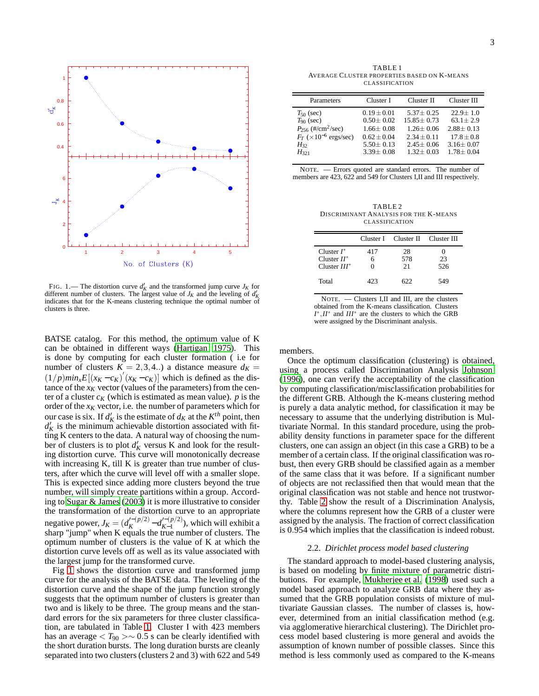

<span id="page-2-0"></span>FIG. 1. — The distortion curve  $d'_{K}$  and the transformed jump curve  $J_{K}$  for different number of clusters. The largest value of  $J_K$  and the leveling of  $d_K$ indicates that for the K-means clustering technique the optimal number of clusters is three.

BATSE catalog. For this method, the optimum value of K can be obtained in different ways [\(Hartigan 1975\)](#page-6-24). This is done by computing for each cluster formation ( i.e for number of clusters  $K = 2,3,4..$ ) a distance measure  $d_K =$  $(1/p)min_{x}E[(x_K-c_K)(x_K-c_K)]$  which is defined as the distance of the  $x_K$  vector (values of the parameters) from the center of a cluster  $c_K$  (which is estimated as mean value).  $p$  is the order of the  $x_K$  vector, i.e. the number of parameters which for our case is six. If  $d'_{K}$  is the estimate of  $d_{K}$  at the  $K^{th}$  point, then  $d'_{K}$  is the minimum achievable distortion associated with fitting K centers to the data. A natural way of choosing the number of clusters is to plot  $d'_{K}$  versus K and look for the resulting distortion curve. This curve will monotonically decrease with increasing K, till K is greater than true number of clusters, after which the curve will level off with a smaller slope. This is expected since adding more clusters beyond the true number, will simply create partitions within a group. According to [Sugar & James](#page-6-25) [\(2003\)](#page-6-25) it is more illustrative to consider the transformation of the distortion curve to an appropriate negative power,  $J_K = (d_K^{\prime-(p/2)} - d_{K-1}^{\prime-(p/2)})$  $K^{-1}$  (*K*<sup>−1</sup>), which will exhibit a sharp "jump" when K equals the true number of clusters. The optimum number of clusters is the value of K at which the distortion curve levels off as well as its value associated with the largest jump for the transformed curve.

Fig [1](#page-2-0) shows the distortion curve and transformed jump curve for the analysis of the BATSE data. The leveling of the distortion curve and the shape of the jump function strongly suggests that the optimum number of clusters is greater than two and is likely to be three. The group means and the standard errors for the six parameters for three cluster classification, are tabulated in Table [1.](#page-2-1) Cluster I with 423 members has an average  $\langle T_{90} \rangle \sim 0.5$  s can be clearly identified with the short duration bursts. The long duration bursts are cleanly separated into two clusters (clusters 2 and 3) with 622 and 549

<span id="page-2-1"></span>TABLE 1 AVERAGE CLUSTER PROPERTIES BASED ON K-MEANS CLASSIFICATION

| Parameters                                                                                                               | Cluster I                                                                               | Cluster II                                                                             | Cluster III                                                                          |
|--------------------------------------------------------------------------------------------------------------------------|-----------------------------------------------------------------------------------------|----------------------------------------------------------------------------------------|--------------------------------------------------------------------------------------|
| $T_{50}$ (sec)<br>$T_{90}$ (sec)<br>$P_{256}$ (#/cm <sup>2</sup> /sec)<br>$F_T$ ( $\times 10^{-6}$ ergs/sec)<br>$H_{32}$ | $0.19 \pm 0.01$<br>$0.50 \pm 0.02$<br>$1.66 + 0.08$<br>$0.62 + 0.04$<br>$5.50 \pm 0.13$ | $5.37 + 0.25$<br>$15.85 \pm 0.73$<br>$1.26 + 0.06$<br>$2.34 + 0.11$<br>$2.45 \pm 0.06$ | $22.9 + 1.0$<br>$63.1 \pm 2.9$<br>$2.88 + 0.13$<br>$17.8 \pm 0.8$<br>$3.16 \pm 0.07$ |
| $H_{321}$                                                                                                                | $3.39 \pm 0.08$                                                                         | $1.32 + 0.03$                                                                          | $1.78 \pm 0.04$                                                                      |

NOTE. — Errors quoted are standard errors. The number of members are 423, 622 and 549 for Clusters I,II and III respectively.

<span id="page-2-2"></span>TABLE 2 DISCRIMINANT ANALYSIS FOR THE K-MEANS CLASSIFICATION

|                                                   |          | Cluster I Cluster II Cluster III |           |
|---------------------------------------------------|----------|----------------------------------|-----------|
| Cluster $I^*$<br>Cluster $H^*$<br>$Cluster III^*$ | 417<br>6 | 28<br>578<br>21                  | 23<br>526 |
| Total                                             | 423      | 622                              | 549       |

NOTE. — Clusters I,II and III, are the clusters obtained from the K-means classification. Clusters *I*<sup>\*</sup>,*II*<sup>\*</sup> and *III*<sup>\*</sup> are the clusters to which the GRB were assigned by the Discriminant analysis.

### members.

Once the optimum classification (clustering) is obtained, using a process called Discrimination Analysis [Johnson](#page-6-26) [\(1996\)](#page-6-26), one can verify the acceptability of the classification by computing classification/misclassification probabilities for the different GRB. Although the K-means clustering method is purely a data analytic method, for classification it may be necessary to assume that the underlying distribution is Multivariate Normal. In this standard procedure, using the probability density functions in parameter space for the different clusters, one can assign an object (in this case a GRB) to be a member of a certain class. If the original classification was robust, then every GRB should be classified again as a member of the same class that it was before. If a significant number of objects are not reclassified then that would mean that the original classification was not stable and hence not trustworthy. Table [2](#page-2-2) show the result of a Discrimination Analysis, where the columns represent how the GRB of a cluster were assigned by the analysis. The fraction of correct classification is 0.954 which implies that the classification is indeed robust.

#### 2.2. *Dirichlet process model based clustering*

The standard approach to model-based clustering analysis, is based on modeling by finite mixture of parametric distributions. For example, [Mukherjee et al. \(1998\)](#page-6-17) used such a model based approach to analyze GRB data where they assumed that the GRB population consists of mixture of multivariate Gaussian classes. The number of classes is, however, determined from an initial classification method (e.g. via agglomerative hierarchical clustering). The Dirichlet process model based clustering is more general and avoids the assumption of known number of possible classes. Since this method is less commonly used as compared to the K-means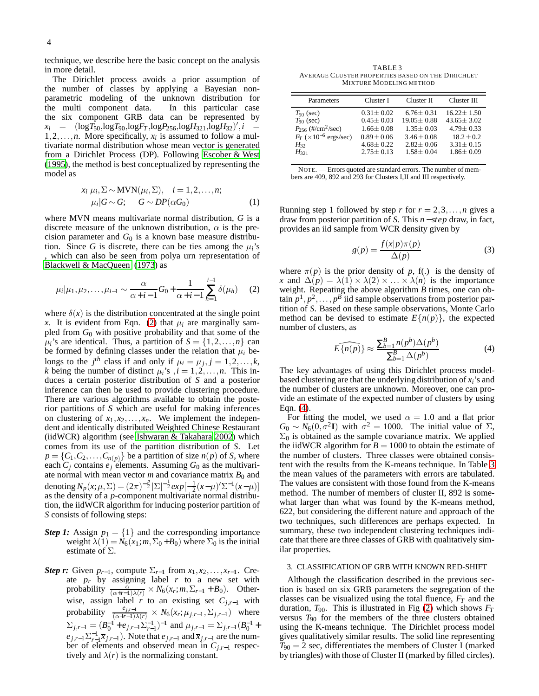technique, we describe here the basic concept on the analysis in more detail.

The Dirichlet process avoids a prior assumption of the number of classes by applying a Bayesian nonparametric modeling of the unknown distribution for the multi component data. In this particular case the six component GRB data can be represented by  $x_i$  =  $(\log T_{50}, \log T_{90}, \log F_T, \log P_{256}, \log H_{321}, \log H_{32})', i =$  $1, 2, \ldots, n$ . More specifically,  $x_i$  is assumed to follow a multivariate normal distribution whose mean vector is generated from a Dirichlet Process (DP). Following [Escober & West](#page-6-27) [\(1995](#page-6-27)), the method is best conceptualized by representing the model as

$$
x_i|\mu_i, \Sigma \sim \text{MVN}(\mu_i, \Sigma), \quad i = 1, 2, \dots, n; \n\mu_i|G \sim G; \quad G \sim DP(\alpha G_0)
$$
\n(1)

where MVN means multivariate normal distribution, *G* is a discrete measure of the unknown distribution,  $\alpha$  is the precision parameter and  $G_0$  is a known base measure distribution. Since *G* is discrete, there can be ties among the  $\mu_i$ 's , which can also be seen from polya urn representation of [Blackwell & MacQueen \(1973\)](#page-6-28) as

<span id="page-3-0"></span>
$$
\mu_i|\mu_1, \mu_2, \dots, \mu_{i-1} \sim \frac{\alpha}{\alpha + i - 1} G_0 + \frac{1}{\alpha + i - 1} \sum_{h=1}^{i-1} \delta(\mu_h) \quad (2)
$$

where  $\delta(x)$  is the distribution concentrated at the single point *x*. It is evident from Eqn. [\(2\)](#page-3-0) that  $\mu_i$  are marginally sampled from *G*<sup>0</sup> with positive probability and that some of the  $\mu_i$ 's are identical. Thus, a partition of  $S = \{1, 2, ..., n\}$  can be formed by defining classes under the relation that  $\mu_i$  belongs to the  $j^{th}$  class if and only if  $\mu_i = \mu_j, j = 1, 2, \dots, k$ , *k* being the number of distinct  $\mu_i$ 's  $i = 1, 2, \ldots, n$ . This induces a certain posterior distribution of *S* and a posterior inference can then be used to provide clustering procedure. There are various algorithms available to obtain the posterior partitions of *S* which are useful for making inferences on clustering of  $x_1, x_2, \ldots, x_n$ . We implement the independent and identically distributed Weighted Chinese Restaurant (iidWCR) algorithm (see [Ishwaran & Takahara 2002](#page-6-29)) which comes from its use of the partition distribution of *S*. Let  $p = \{C_1, C_2, \ldots, C_{n(p)}\}$  be a partition of size  $n(p)$  of *S*, where each  $C_i$  contains  $e_i$  elements. Assuming  $G_0$  as the multivariate normal with mean vector  $m$  and covariance matrix  $B_0$  and denoting  $N_p(x; \mu, \Sigma) = (2\pi)^{-\frac{p}{2}} |\Sigma|^{-\frac{1}{2}} exp[-\frac{1}{2}(x-\mu)'\Sigma^{-1}(x-\mu)]$ as the density of a *p*-component multivariate normal distribution, the iidWCR algorithm for inducing posterior partition of *S* consists of following steps:

- *Step 1:* Assign  $p_1 = \{1\}$  and the corresponding importance weight  $\lambda(1) = N_6(x_1; m, \Sigma_0 + B_0)$  where  $\Sigma_0$  is the initial estimate of Σ.
- *Step r:* Given  $p_{r-1}$ , compute  $\Sigma_{r-1}$  from  $x_1, x_2, \ldots, x_{r-1}$ . Create  $p_r$  by assigning label  $r$  to a new set with probability  $\frac{\alpha}{(\alpha+r-1)\lambda(r)} \times N_6(x_r;m,\Sigma_{r-1}+B_0)$ . Otherwise, assign label *r* to an existing set *Cj*,*r*−<sup>1</sup> with probability  $\frac{e_{j,r-1}}{(\alpha+r-1)\lambda(r)} \times N_6(x_r;\mu_{j,r-1},\Sigma_{j,r-1})$  where  $\Sigma_{j,r-1} = (B_0^{-1} + e_{j,r-1} \Sigma_{r-1}^{-1})^{-1}$  and  $\mu_{j,r-1} = \Sigma_{j,r-1} (B_0^{-1} +$  $e_{j,r-1} \sum_{r=1}^{-1} \overline{x}_{j,r-1}$ ). Note that  $e_{j,r-1}$  and  $\overline{x}_{j,r-1}$  are the number of elements and observed mean in *Cj*,*r*−<sup>1</sup> respectively and  $\lambda(r)$  is the normalizing constant.

<span id="page-3-2"></span>TABLE 3 AVERAGE CLUSTER PROPERTIES BASED ON THE DIRICHLET MIXTURE MODELING METHOD

| Parameters                         | Cluster I       | Cluster II       | Cluster III      |
|------------------------------------|-----------------|------------------|------------------|
| $T_{50}$ (sec)                     | $0.31 \pm 0.02$ | $6.76 \pm 0.31$  | $16.22 \pm 1.50$ |
| $T_{90}$ (sec)                     | $0.45 \pm 0.03$ | $19.05 \pm 0.88$ | $43.65 \pm 3.02$ |
| $P_{256}$ (#/cm <sup>2</sup> /sec) | $1.66 + 0.08$   | $1.35 + 0.03$    | $4.79 + 0.33$    |
| $F_T$ ( $\times 10^{-6}$ ergs/sec) | $0.89 \pm 0.06$ | $3.46 + 0.08$    | $18.2 \pm 0.2$   |
| $H_{32}$                           | $4.68 \pm 0.22$ | $2.82 \pm 0.06$  | $3.31 \pm 0.15$  |
| $H_{321}$                          | $2.75 + 0.13$   | $1.58 + 0.04$    | $1.86 \pm 0.09$  |

NOTE. — Errors quoted are standard errors. The number of members are 409, 892 and 293 for Clusters I,II and III respectively.

Running step 1 followed by step *r* for  $r = 2,3,...,n$  gives a draw from posterior partition of *S*. This *n* − *step* draw, in fact, provides an iid sample from WCR density given by

$$
g(p) = \frac{f(x|p)\pi(p)}{\Delta(p)}\tag{3}
$$

where  $\pi(p)$  is the prior density of *p*, f(.) is the density of *x* and  $\Delta(p) = \lambda(1) \times \lambda(2) \times \ldots \times \lambda(n)$  is the importance weight. Repeating the above algorithm *B* times, one can ob- $\tan p^1, p^2, \ldots, p^B$  iid sample observations from posterior partition of *S*. Based on these sample observations, Monte Carlo method can be devised to estimate  $E\{n(p)\}\$ , the expected number of clusters, as

<span id="page-3-1"></span>
$$
E\widehat{\{n(p)\}} \approx \frac{\sum_{b=1}^{B} n(p^b) \Delta(p^b)}{\sum_{b=1}^{B} \Delta(p^b)}
$$
(4)

The key advantages of using this Dirichlet process modelbased clustering are that the underlying distribution of *xi*'s and the number of clusters are unknown. Moreover, one can provide an estimate of the expected number of clusters by using Eqn. [\(4\)](#page-3-1).

For fitting the model, we used  $\alpha = 1.0$  and a flat prior  $G_0 \sim N_6(0, \sigma^2 I)$  with  $\sigma^2 = 1000$ . The initial value of  $\Sigma$ ,  $\Sigma_0$  is obtained as the sample covariance matrix. We applied the iidWCR algorithm for  $B = 1000$  to obtain the estimate of the number of clusters. Three classes were obtained consistent with the results from the K-means technique. In Table [3](#page-3-2) the mean values of the parameters with errors are tabulated. The values are consistent with those found from the K-means method. The number of members of cluster II, 892 is somewhat larger than what was found by the K-means method, 622, but considering the different nature and approach of the two techniques, such differences are perhaps expected. In summary, these two independent clustering techniques indicate that there are three classes of GRB with qualitatively similar properties.

### 3. CLASSIFICATION OF GRB WITH KNOWN RED-SHIFT

Although the classification described in the previous section is based on six GRB parameters the segregation of the classes can be visualized using the total fluence, *F<sup>T</sup>* and the duration, *T*90. This is illustrated in Fig [\(2\)](#page-4-0) which shows *F<sup>T</sup>* versus  $T_{90}$  for the members of the three clusters obtained using the K-means technique. The Dirichlet process model gives qualitatively similar results. The solid line representing  $T_{90} = 2$  sec, differentiates the members of Cluster I (marked by triangles) with those of Cluster II (marked by filled circles).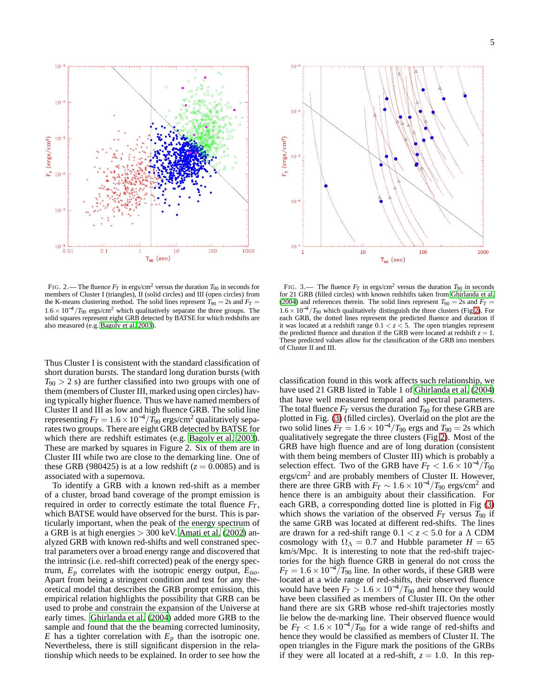$10<sup>2</sup>$  $10$  $10<sup>1</sup>$  $\rm{F}_{r}$  (ergs/cm<sup>2</sup>)  $10<sup>°</sup>$  $10<sup>1</sup>$ 10  $0.01$  $100$  $1000$  $0.1$  $10$  $T_{90}$  (sec)

<span id="page-4-0"></span>FIG. 2.— The fluence  $F_T$  in ergs/cm<sup>2</sup> versus the duration  $T_{90}$  in seconds for members of Cluster I (triangles), II (solid circles) and III (open circles) from the K-means clustering method. The solid lines represent  $T_{90} = 2$ s and  $F_T =$  $1.6 \times 10^{-4}/T_{90}$  ergs/cm<sup>2</sup> which qualitatively separate the three groups. The solid squares represent eight GRB detected by BATSE for which redshifts are also measured (e.g. [Bagoly et al. 2003\)](#page-6-30).

Thus Cluster I is consistent with the standard classification of short duration bursts. The standard long duration bursts (with  $T_{90} > 2$  s) are further classified into two groups with one of them (members of Cluster III, marked using open circles) having typically higher fluence. Thus we have named members of Cluster II and III as low and high fluence GRB. The solid line representing  $F_T = 1.6 \times 10^{-4} / T_{90}$  ergs/cm<sup>2</sup> qualitatively separates two groups. There are eight GRB detected by BATSE for which there are redshift estimates (e.g. [Bagoly et al. 2003\)](#page-6-30). These are marked by squares in Figure 2. Six of them are in Cluster III while two are close to the demarking line. One of these GRB (980425) is at a low redshift  $(z = 0.0085)$  and is associated with a supernova.

To identify a GRB with a known red-shift as a member of a cluster, broad band coverage of the prompt emission is required in order to correctly estimate the total fluence  $F_T$ , which BATSE would have observed for the burst. This is particularly important, when the peak of the energy spectrum of a GRB is at high energies > 300 keV. [Amati et al.](#page-6-31) [\(2002\)](#page-6-31) analyzed GRB with known red-shifts and well constraned spectral parameters over a broad energy range and discovered that the intrinsic (i.e. red-shift corrected) peak of the energy spectrum, *E<sup>p</sup>* correlates with the isotropic energy output, *Eiso*. Apart from being a stringent condition and test for any theoretical model that describes the GRB prompt emission, this empirical relation highlights the possibility that GRB can be used to probe and constrain the expansion of the Universe at early times. [Ghirlanda et al. \(2004\)](#page-6-32) added more GRB to the sample and found that the the beaming corrected luminosity, *E* has a tighter correlation with  $E_p$  than the isotropic one. Nevertheless, there is still significant dispersion in the relationship which needs to be explained. In order to see how the



<span id="page-4-1"></span>FIG. 3.— The fluence  $F_T$  in ergs/cm<sup>2</sup> versus the duration  $T_{90}$  in seconds for 21 GRB (filled circles) with known redshifts taken from [Ghirlanda et al.](#page-6-32) [\(2004](#page-6-32)) and references therein. The solid lines represent  $T_{90} = 2s$  and  $F_T =$  $1.6 \times 10^{-4}/T_{90}$  which qualitatively distinguish the three clusters (Fig [2\)](#page-4-0). For each GRB, the dotted lines represent the predicted fluence and duration if it was located at a redshift range  $0.1 < z < 5$ . The open triangles represent the predicted fluence and duration if the GRB were located at redshift  $z = 1$ . These predicted values allow for the classification of the GRB into members of Cluster II and III.

classification found in this work affects such relationship, we have used 21 GRB listed in Table 1 of [Ghirlanda et al.](#page-6-32) [\(2004\)](#page-6-32) that have well measured temporal and spectral parameters. The total fluence  $F_T$  versus the duration  $T_{90}$  for these GRB are plotted in Fig. [\(3\)](#page-4-1) (filled circles). Overlaid on the plot are the two solid lines  $F_T = 1.6 \times 10^{-4} / T_{90}$  ergs and  $T_{90} = 2$ s which qualitatively segregate the three clusters (Fig [2\)](#page-4-0). Most of the GRB have high fluence and are of long duration (consistent with them being members of Cluster III) which is probably a selection effect. Two of the GRB have  $F_T < 1.6 \times 10^{-4}/T_{90}$ ergs/cm<sup>2</sup> and are probably members of Cluster II. However, there are three GRB with  $F_T \sim 1.6 \times 10^{-4} / T_{90}$  ergs/cm<sup>2</sup> and hence there is an ambiguity about their classification. For each GRB, a corresponding dotted line is plotted in Fig [\(3\)](#page-4-1) which shows the variation of the observed  $F_T$  versus  $\overline{T}_{90}$  if the same GRB was located at different red-shifts. The lines are drawn for a red-shift range  $0.1 < z < 5.0$  for a  $\Lambda$  CDM cosmology with  $\Omega_{\Lambda} = 0.7$  and Hubble parameter  $H = 65$ km/s/Mpc. It is interesting to note that the red-shift trajectories for the high fluence GRB in general do not cross the  $F_T = 1.6 \times 10^{-4} / T_{90}$  line. In other words, if these GRB were located at a wide range of red-shifts, their observed fluence would have been  $F_T > 1.6 \times 10^{-4} / T_{90}$  and hence they would have been classified as members of Cluster III. On the other hand there are six GRB whose red-shift trajectories mostly lie below the de-marking line. Their observed fluence would be  $F_T < 1.6 \times 10^{-4}/T_{90}$  for a wide range of red-shifts and hence they would be classified as members of Cluster II. The open triangles in the Figure mark the positions of the GRBs if they were all located at a red-shift,  $z = 1.0$ . In this rep-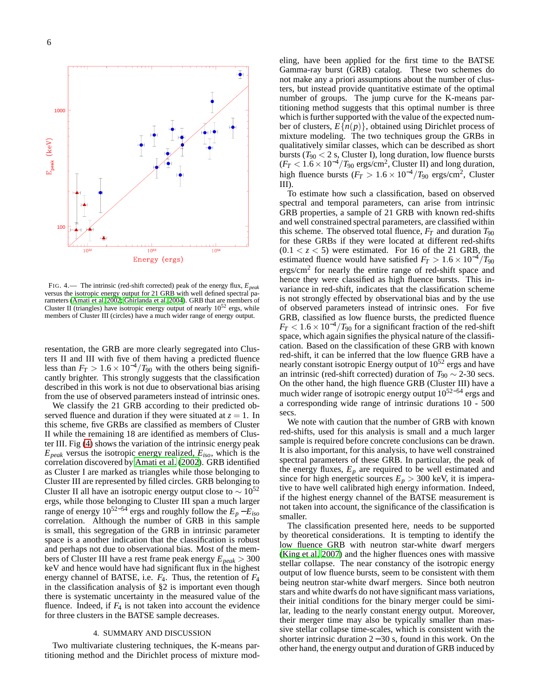

<span id="page-5-0"></span>FIG. 4.— The intrinsic (red-shift corrected) peak of the energy flux, *Epeak* versus the isotropic energy output for 21 GRB with well defined spectral parameters [\(Amati et al. 2002](#page-6-31); [Ghirlanda et al. 2004\)](#page-6-32). GRB that are members of Cluster II (triangles) have isotropic energy output of nearly  $10^{52}$  ergs, while members of Cluster III (circles) have a much wider range of energy output.

resentation, the GRB are more clearly segregated into Clusters II and III with five of them having a predicted fluence less than  $F_T > 1.6 \times 10^{-4} / T_{90}$  with the others being significantly brighter. This strongly suggests that the classification described in this work is not due to observational bias arising from the use of observed parameters instead of intrinsic ones.

We classify the 21 GRB according to their predicted observed fluence and duration if they were situated at  $z = 1$ . In this scheme, five GRBs are classified as members of Cluster II while the remaining 18 are identified as members of Cluster III. Fig [\(4\)](#page-5-0) shows the variation of the intrinsic energy peak *Epeak* versus the isotropic energy realized, *Eiso*, which is the correlation discovered by [Amati et al. \(2002\)](#page-6-31). GRB identified as Cluster I are marked as triangles while those belonging to Cluster III are represented by filled circles. GRB belonging to Cluster II all have an isotropic energy output close to  $\sim 10^{52}$ ergs, while those belonging to Cluster III span a much larger range of energy  $10^{52-54}$  ergs and roughly follow the  $E_p - E_{iso}$ correlation. Although the number of GRB in this sample is small, this segregation of the GRB in intrinsic parameter space is a another indication that the classification is robust and perhaps not due to observational bias. Most of the members of Cluster III have a rest frame peak energy *Epeak* > 300 keV and hence would have had significant flux in the highest energy channel of BATSE, i.e. *F*4. Thus, the retention of *F*<sup>4</sup> in the classification analysis of §2 is important even though there is systematic uncertainty in the measured value of the fluence. Indeed, if  $F_4$  is not taken into account the evidence for three clusters in the BATSE sample decreases.

### 4. SUMMARY AND DISCUSSION

Two multivariate clustering techniques, the K-means partitioning method and the Dirichlet process of mixture modeling, have been applied for the first time to the BATSE Gamma-ray burst (GRB) catalog. These two schemes do not make any a priori assumptions about the number of clusters, but instead provide quantitative estimate of the optimal number of groups. The jump curve for the K-means partitioning method suggests that this optimal number is three which is further supported with the value of the expected number of clusters,  $E\{n(p)\}\)$ , obtained using Dirichlet process of mixture modeling. The two techniques group the GRBs in qualitatively similar classes, which can be described as short bursts ( $T_{90}$  < 2 s, Cluster I), long duration, low fluence bursts  $(F_T < 1.6 \times 10^{-4} / T_{90} \text{ ergs/cm}^2,$  Cluster II) and long duration, high fluence bursts ( $F_T > 1.6 \times 10^{-4} / T_{90}$  ergs/cm<sup>2</sup>, Cluster III).

To estimate how such a classification, based on observed spectral and temporal parameters, can arise from intrinsic GRB properties, a sample of 21 GRB with known red-shifts and well constrained spectral parameters, are classified within this scheme. The observed total fluence,  $F_T$  and duration  $T_{90}$ for these GRBs if they were located at different red-shifts  $(0.1 < z < 5)$  were estimated. For 16 of the 21 GRB, the estimated fluence would have satisfied  $F_T > 1.6 \times 10^{-4}/T_{90}$ ergs/cm<sup>2</sup> for nearly the entire range of red-shift space and hence they were classified as high fluence bursts. This invariance in red-shift, indicates that the classification scheme is not strongly effected by observational bias and by the use of observed parameters instead of intrinsic ones. For five GRB, classified as low fluence bursts, the predicted fluence  $F_T < 1.6 \times 10^{-4}/T_{90}$  for a significant fraction of the red-shift space, which again signifies the physical nature of the classification. Based on the classification of these GRB with known red-shift, it can be inferred that the low fluence GRB have a nearly constant isotropic Energy output of  $10^{52}$  ergs and have an intrinsic (red-shift corrected) duration of  $T_{90} \sim 2-30$  secs. On the other hand, the high fluence GRB (Cluster III) have a much wider range of isotropic energy output  $10^{52-54}$  ergs and a corresponding wide range of intrinsic durations 10 - 500 secs.

We note with caution that the number of GRB with known red-shifts, used for this analysis is small and a much larger sample is required before concrete conclusions can be drawn. It is also important, for this analysis, to have well constrained spectral parameters of these GRB. In particular, the peak of the energy fluxes,  $E_p$  are required to be well estimated and since for high energetic sources  $E_p > 300$  keV, it is imperative to have well calibrated high energy information. Indeed, if the highest energy channel of the BATSE measurement is not taken into account, the significance of the classification is smaller.

The classification presented here, needs to be supported by theoretical considerations. It is tempting to identify the low fluence GRB with neutron star-white dwarf mergers [\(King et al. 2007\)](#page-6-5) and the higher fluences ones with massive stellar collapse. The near constancy of the isotropic energy output of low fluence bursts, seem to be consistent with them being neutron star-white dwarf mergers. Since both neutron stars and white dwarfs do not have significant mass variations, their initial conditions for the binary merger could be similar, leading to the nearly constant energy output. Moreover, their merger time may also be typically smaller than massive stellar collapse time-scales, which is consistent with the shorter intrinsic duration 2 − 30 s, found in this work. On the other hand, the energy output and duration of GRB induced by